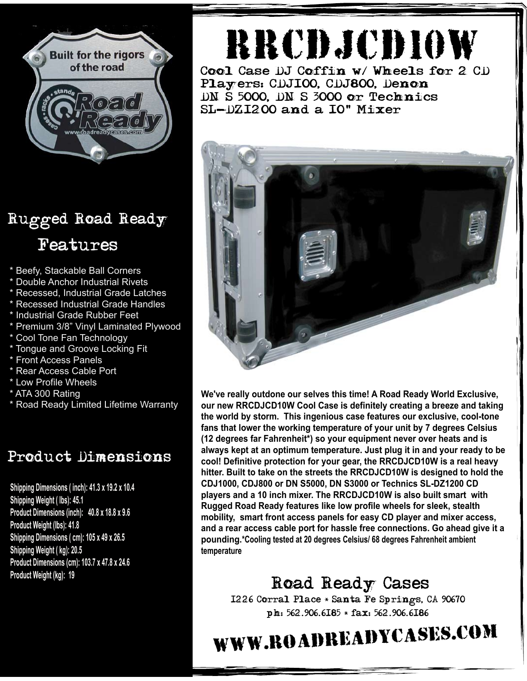

## Rugged Road Ready Features

- \* Beefy, Stackable Ball Corners
- \* Double Anchor Industrial Rivets
- \* Recessed, Industrial Grade Latches
- \* Recessed Industrial Grade Handles
- \* Industrial Grade Rubber Feet
- \* Premium 3/8" Vinyl Laminated Plywood
- \* Cool Tone Fan Technology
- \* Tongue and Groove Locking Fit
- \* Front Access Panels
- \* Rear Access Cable Port
- \* Low Profile Wheels
- \* ATA 300 Rating
- \* Road Ready Limited Lifetime Warranty

#### Product Dimensions

**Shipping Dimensions ( inch): 41.3 x 19.2 x 10.4 Shipping Weight ( lbs): 45.1 Product Dimensions (inch): 40.8 x 18.8 x 9.6 Product Weight (lbs): 41.8 Shipping Dimensions ( cm): 105 x 49 x 26.5 Shipping Weight ( kg): 20.5 Product Dimensions (cm): 103.7 x 47.8 x 24.6 Product Weight (kg): 19**

# rrcdjcd10w

Cool Case DJ Coffin w/ Wheels for 2 CD Players: CDJ100, CDJ800, Denon DN S 5000, DN S 3000 or Technics SL-DZ1200 and a 10" Mixer



**We've really outdone our selves this time! A Road Ready World Exclusive, our new RRCDJCD10W Cool Case is definitely creating a breeze and taking the world by storm. This ingenious case features our exclusive, cool-tone fans that lower the working temperature of your unit by 7 degrees Celsius (12 degrees far Fahrenheit\*) so your equipment never over heats and is always kept at an optimum temperature. Just plug it in and your ready to be cool! Definitive protection for your gear, the RRCDJCD10W is a real heavy hitter. Built to take on the streets the RRCDJCD10W is designed to hold the CDJ1000, CDJ800 or DN S5000, DN S3000 or Technics SL-DZ1200 CD players and a 10 inch mixer. The RRCDJCD10W is also built smart with Rugged Road Ready features like low profile wheels for sleek, stealth mobility, smart front access panels for easy CD player and mixer access, and a rear access cable port for hassle free connections. Go ahead give it a pounding.\*Cooling tested at 20 degrees Celsius/ 68 degrees Fahrenheit ambient temperature**

### Road Ready Cases

1226 Corral Place \* Santa Fe Springs, CA 90670 ph: 562.906.6185 \* fax: 562.906.6186

# www.roadreadycases.com